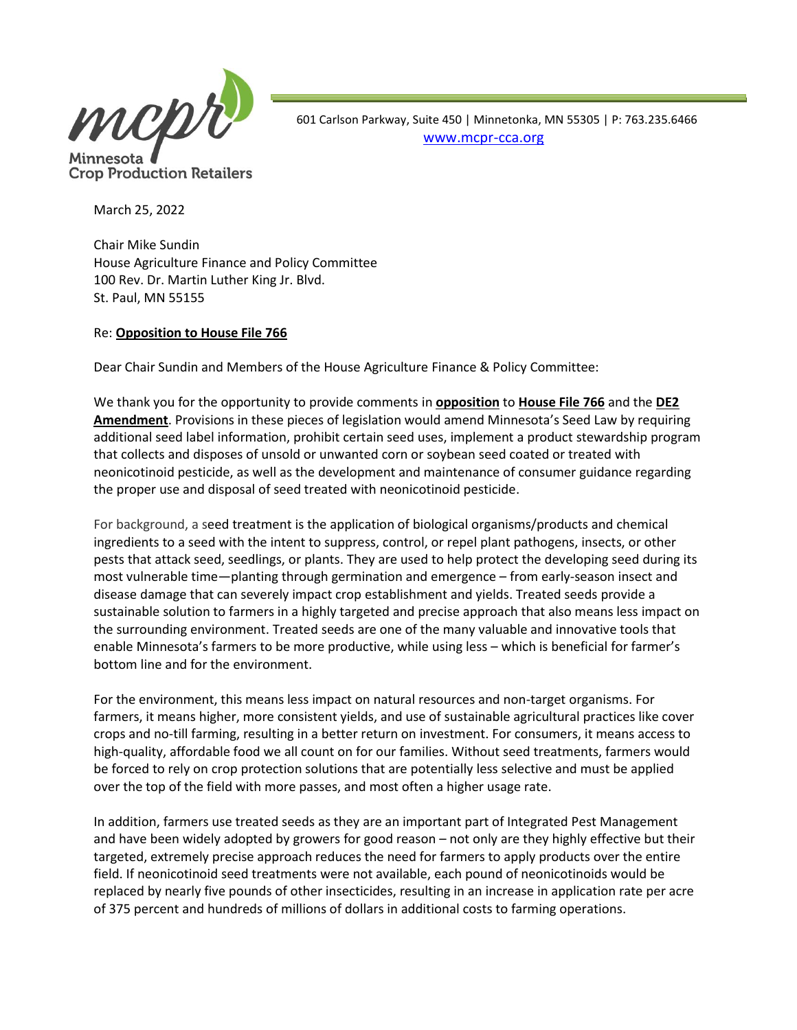

**Crop Production Retailers** 

 601 Carlson Parkway, Suite 450 | Minnetonka, MN 55305 | P: 763.235.6466 [www.mcpr-cca.org](http://www.mcpr-cca.org/)

March 25, 2022

Chair Mike Sundin House Agriculture Finance and Policy Committee 100 Rev. Dr. Martin Luther King Jr. Blvd. St. Paul, MN 55155

## Re: **Opposition to House File 766**

Dear Chair Sundin and Members of the House Agriculture Finance & Policy Committee:

We thank you for the opportunity to provide comments in **opposition** to **House File 766** and the **DE2 Amendment**. Provisions in these pieces of legislation would amend Minnesota's Seed Law by requiring additional seed label information, prohibit certain seed uses, implement a product stewardship program that collects and disposes of unsold or unwanted corn or soybean seed coated or treated with neonicotinoid pesticide, as well as the development and maintenance of consumer guidance regarding the proper use and disposal of seed treated with neonicotinoid pesticide.

For background, a seed treatment is the application of biological organisms/products and chemical ingredients to a seed with the intent to suppress, control, or repel plant pathogens, insects, or other pests that attack seed, seedlings, or plants. They are used to help protect the developing seed during its most vulnerable time—planting through germination and emergence – from early-season insect and disease damage that can severely impact crop establishment and yields. Treated seeds provide a sustainable solution to farmers in a highly targeted and precise approach that also means less impact on the surrounding environment. Treated seeds are one of the many valuable and innovative tools that enable Minnesota's farmers to be more productive, while using less – which is beneficial for farmer's bottom line and for the environment.

For the environment, this means less impact on natural resources and non-target organisms. For farmers, it means higher, more consistent yields, and use of sustainable agricultural practices like cover crops and no-till farming, resulting in a better return on investment. For consumers, it means access to high-quality, affordable food we all count on for our families. Without seed treatments, farmers would be forced to rely on crop protection solutions that are potentially less selective and must be applied over the top of the field with more passes, and most often a higher usage rate.

In addition, farmers use treated seeds as they are an important part of Integrated Pest Management and have been widely adopted by growers for good reason – not only are they highly effective but their targeted, extremely precise approach reduces the need for farmers to apply products over the entire field. If neonicotinoid seed treatments were not available, each pound of neonicotinoids would be replaced by nearly five pounds of other insecticides, resulting in an increase in application rate per acre of 375 percent and hundreds of millions of dollars in additional costs to farming operations.